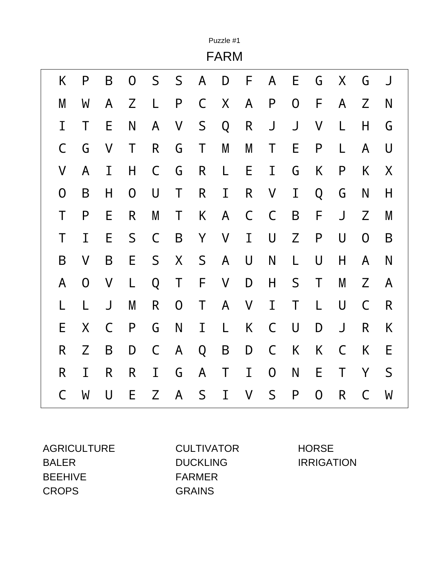|                |                  |   |                |              |                |             | Puzzle #1<br><b>FARM</b> |   |                |   |   |             |                  |             |
|----------------|------------------|---|----------------|--------------|----------------|-------------|--------------------------|---|----------------|---|---|-------------|------------------|-------------|
| K              | P                | B | $\overline{0}$ | S            | $\mathsf S$    | A           | D                        | F | A              | E | G | X           | G                | J           |
| M              | W                | A | Z              | L            | $\mathsf{P}$   | $\mathsf C$ | X                        | A | $\mathsf{P}$   | 0 | F | A           | Z                | N           |
| I              | Τ                | E | N              | A            | V              | S           | Q                        | R | J              | J | V | L           | H                | G           |
| C              | G                | V | Τ              | R            | G              | Τ           | M                        | M | T              | Е | P | L           | A                | U           |
| V              | A                | I | H              | $\mathsf C$  | G              | R           | L                        | E | I              | G | K | P           | K                | X           |
| $\overline{0}$ | B                | H | $\mathsf{O}$   | $\bigcup$    | Τ              | R           | I                        | R | V              | I | Q | G           | N                | H           |
| T              | $\mathsf{P}$     | E | R              | M            | Τ              | K           | A                        | C | $\mathsf C$    | B | F | J           | Z                | M           |
| T              | I                | E | $\mathsf S$    | $\mathsf C$  | B              | Y           | $\mathsf{V}$             | I | U              | Z | P | U           | $\boldsymbol{0}$ | B           |
| B              | V                | B | E              | S            | X              | $\mathsf S$ | A                        | U | N              | L | U | H           | A                | N           |
| A              | $\boldsymbol{0}$ | V | L              | Q            | Τ              | F           | V                        | D | H              | S | Τ | M           | Z                | A           |
| L              | L                | J | M              | $\mathsf{R}$ | $\overline{0}$ | Τ           | A                        | V | I              | Τ | L | U           | C                | R           |
| E              | X                | C | P              | G            | N              | I           | L                        | K | C              | U | D | J           | R                | K           |
| R              | Z                | B | D              | $\mathsf C$  | A              | Q           | B                        | D | $\mathsf C$    | K | K | $\mathsf C$ | K                | E           |
| R              | I                | R | R              | I            | G              | A           | Τ                        | I | $\overline{0}$ | N | E | Τ           | Y                | $\mathsf S$ |
| C              | W                | U | E              | Z            | A              | $\mathsf S$ | I                        | V | S              | P | 0 | R           | C                | W           |

AGRICULTURE CULTIVATOR HORSE BALER DUCKLING IRRIGATION BEEHIVE FARMER CROPS GRAINS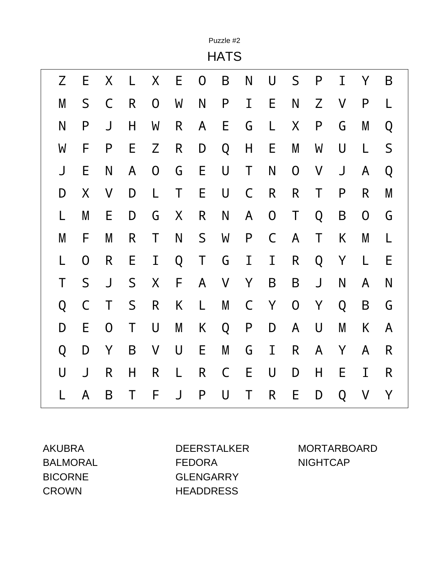|   |                |              |             |                |   |                | Puzzle #2<br><b>HATS</b> |              |             |             |              |           |              |   |
|---|----------------|--------------|-------------|----------------|---|----------------|--------------------------|--------------|-------------|-------------|--------------|-----------|--------------|---|
| Z | E              | Χ            |             | X              | Е | $\overline{0}$ | B                        | N            | U           | S           | P            | Ι         | Y            | B |
| M | S              | C            | R           | $\overline{0}$ | W | N              | $\mathsf{P}$             | I            | E           | N           | Z            | V         | P            | L |
| N | $\mathsf{P}$   | J            | H           | W              | R | A              | E                        | G            | L           | X           | $\mathsf{P}$ | G         | M            | Q |
| W | F              | P            | E           | Z              | R | D              | Q                        | Н            | E           | M           | W            | $\bigcup$ | L            | S |
| J | E              | N            | A           | $\overline{0}$ | G | Ε              | U                        | Τ            | N           | $\mathbf 0$ | V            | J         | A            | Q |
| D | X              | V            | D           | L              | Τ | E              | U                        | $\mathsf C$  | R           | R           | Τ            | P         | R            | M |
| L | M              | E            | D           | G              | X | R              | $\mathsf{N}$             | A            | $\mathbf 0$ | Τ           | Q            | B         | $\mathsf{O}$ | G |
| M | F              | M            | R           | Τ              | N | S              | W                        | $\mathsf{P}$ | $\mathsf C$ | A           | T            | K         | M            | L |
| L | $\overline{0}$ | R            | E           | I              | Q | Τ              | G                        | I            | I           | R           | Q            | Υ         | L            | E |
| Τ | $\mathsf S$    | J            | $\mathsf S$ | X              | F | A              | V                        | Y            | B           | B           | J            | N         | A            | N |
| Q | $\mathsf C$    | Τ            | $\mathsf S$ | $\mathsf{R}$   | K | L              | M                        | $\mathsf C$  | Y           | $\mathbf 0$ | Y            | Q         | B            | G |
| D | E              | $\mathsf{O}$ | Τ           | U              | M | K              | Q                        | P            | D           | A           | U            | M         | K            | A |
| Q | D              | Y            | B           | $\sf V$        | U | E              | M                        | G            | I           | R           | A            | Y         | A            | R |
| U | J              | R            | H           | R              | L | R              | C                        | E            | U           | D           | H            | E         | I            | R |
|   | A              | B            | Τ           | F              | J | $\mathsf{P}$   | U                        | Τ            | R           | E           | D            | Q         | V            | Υ |

BALMORAL FEDORA NIGHTCAP BICORNE GLENGARRY CROWN HEADDRESS

AKUBRA DEERSTALKER MORTARBOARD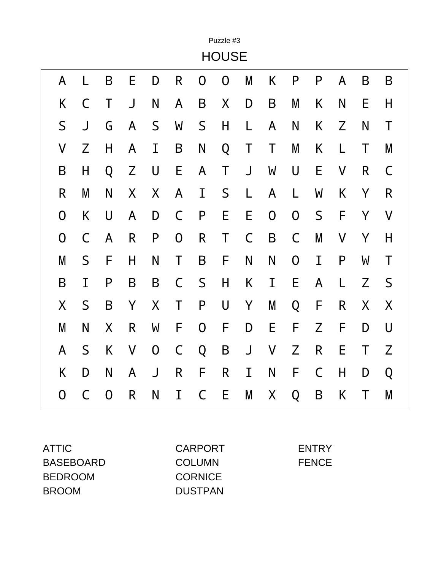|                  |             |   |              |             |                |              | Puzzle #3    |             |                         |   |              |              |   |              |
|------------------|-------------|---|--------------|-------------|----------------|--------------|--------------|-------------|-------------------------|---|--------------|--------------|---|--------------|
|                  |             |   |              |             |                |              | <b>HOUSE</b> |             |                         |   |              |              |   |              |
| A                | L           | B | Е            | D           | R              | 0            | 0            | M           | K                       | P | $\mathsf{P}$ | A            | B | B            |
| K                | C           | Τ | J            | N           | A              | B            | X            | D           | B                       | M | K            | N            | Е | H            |
| $\mathsf S$      | J           | G | A            | $\mathsf S$ | W              | S            | Н            | L           | A                       | N | K            | Z            | N | Τ            |
| $\mathsf{V}$     | Z           | Н | A            | I           | B              | N            | Q            | Τ           | Τ                       | M | K            | L            | T | M            |
| B                | H           | Q | Z            | U           | E              | A            | Τ            | J           | W                       | U | Ε            | V            | R | C            |
| $\mathsf{R}$     | M           | N | X            | X           | A              | I            | $\mathsf S$  | L           | A                       | L | W            | K            | Y | $\mathsf{R}$ |
| $\boldsymbol{0}$ | K           | U | A            | D           | C              | $\mathsf{P}$ | E            | E           | $\overline{0}$          | 0 | $\mathsf S$  | F            | Y | V            |
| $\overline{0}$   | $\mathsf C$ | A | $\mathsf{R}$ | P           | $\overline{0}$ | R            | Τ            | $\mathsf C$ | B                       | C | M            | V            | Y | H            |
| M                | S           | F | Η            | N           | Τ              | B            | F            | N           | N                       | 0 | I            | $\mathsf{P}$ | W | Τ            |
| B                | I           | P | B            | B           | C              | S            | Н            | K           | I                       | E | A            | L            | Z | $\mathsf S$  |
| X                | S           | B | Y            | X           | Τ              | $\mathsf{P}$ | U            | Υ           | M                       | Q | F            | R            | X | X            |
| M                | N           | X | R            | W           | F              | 0            | F            | D           | E                       | F | Z            | F            | D | U            |
| A                | S           | K | $\mathsf{V}$ | $\mathbf 0$ | C              | Q            | B            | J           | $\overline{\mathsf{V}}$ | Z | R            | E            | Τ | Z            |
| K                | D           | N | A            | J           | R              | F            | R            | I           | N                       | F | $\mathsf C$  | H            | D | Q            |
| 0                | $\mathsf C$ | 0 | R            | N           | I              | C            | E            | M           | Χ                       | Q | B            | K            | Τ | M            |

| ATTIC            | <b>CARPORT</b> | <b>ENTRY</b> |
|------------------|----------------|--------------|
| <b>BASEBOARD</b> | <b>COLUMN</b>  | <b>FENCE</b> |
| <b>BEDROOM</b>   | <b>CORNICE</b> |              |
| <b>BROOM</b>     | <b>DUSTPAN</b> |              |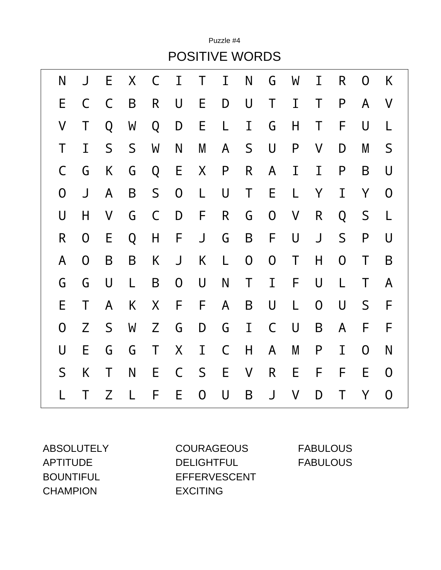Puzzle #4 POSITIVE WORDS

| N | J              | E           | X           | C           | I                | Τ              | I            | N              | G           | W | I              | R              | 0              | K              |
|---|----------------|-------------|-------------|-------------|------------------|----------------|--------------|----------------|-------------|---|----------------|----------------|----------------|----------------|
| Е | C              | C           | B           | R           | U                | E              | D            | U              | Τ           | I | Τ              | $\mathsf{P}$   | A              | V              |
| V | Τ              | Q           | W           | Q           | D                | E              | L            | I              | G           | Н | Τ              | F              | U              | L              |
| Τ | I              | $\mathsf S$ | $\mathsf S$ | W           | N                | M              | A            | S              | $\bigcup$   | P | V              | D              | M              | S              |
| C | G              | K           | G           | Q           | E                | X              | P            | R              | A           | I | I              | $\mathsf{P}$   | B              | U              |
| 0 | J              | A           | B           | $\mathsf S$ | $\mathbf 0$      | L              | $\bigcup$    | Τ              | E           | L | Y              | I              | Y              | $\overline{0}$ |
| U | H              | V           | G           | $\mathsf C$ | D                | F              | $\mathsf{R}$ | G              | $\mathbf 0$ | V | R              | Q              | S              | L              |
| R | 0              | E           | Q           | H           | F                | J              | G            | B              | F           | U | $\bigcup$      | $\mathsf S$    | P              | U              |
| A | $\overline{0}$ | B           | B           | K           | J                | K              | L            | $\overline{0}$ | $\mathbf 0$ | Τ | H              | $\overline{0}$ | Τ              | B              |
| G | G              | U           | L           | B           | $\boldsymbol{0}$ | $\sf U$        | N            | Τ              | I           | F | U              | L              | Τ              | A              |
| Е | Τ              | A           | K           | X           | F                | F              | $\mathsf{A}$ | B              | U           | L | $\overline{0}$ | U              | $\mathsf S$    | F              |
| O | Z              | $\mathsf S$ | W           | Z           | G                | D              | G            | $\mathbf I$    | $\mathsf C$ | U | B              | A              | F              | F              |
| U | E              | G           | G           | $\mathsf T$ | X                | $\bf I$        | $\mathsf C$  | H              | A           | M | $\mathsf{P}$   | I              | $\overline{0}$ | N              |
| S | K              | T           | N           | E           | $\mathsf{C}$     | $\mathsf S$    | E            | $\mathsf{V}$   | R           | E | F              | F              | E              | 0              |
|   | Τ              | Z           | L           | F           | E                | $\overline{0}$ | U            | B              | J           | V | D              | Τ              | Y              | 0              |

CHAMPION EXCITING

ABSOLUTELY COURAGEOUS FABULOUS APTITUDE DELIGHTFUL FABULOUS BOUNTIFUL EFFERVESCENT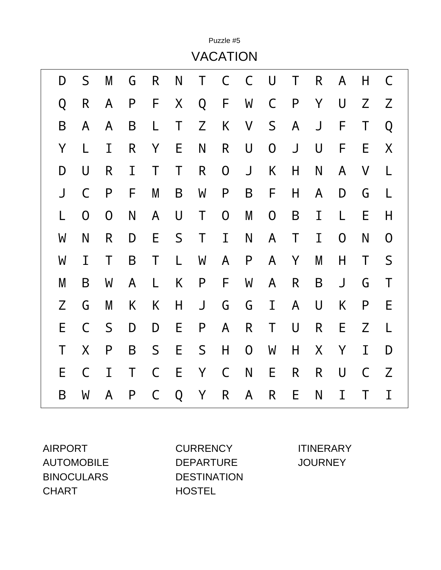|   |                |              |              |             |   |              | <b>VACATION</b> |                |                |              |              |              |   |                  |
|---|----------------|--------------|--------------|-------------|---|--------------|-----------------|----------------|----------------|--------------|--------------|--------------|---|------------------|
| D | $\mathsf S$    | M            | G            | R           | N | Τ            | $\mathsf C$     | C              | U              | Τ            | $\mathsf{R}$ | $\mathsf{A}$ | Η | C                |
| Q | R              | A            | P            | F           | Χ | Q            | F               | W              | $\mathsf C$    | $\mathsf{P}$ | Y            | U            | Z | Z                |
| B | A              | A            | B            | L           | Τ | Z            | K               | $\mathsf{V}$   | $\mathsf S$    | A            | J            | F            | Τ | Q                |
| Υ | L              | I            | $\mathsf{R}$ | Y           | Е | N            | R               | U              | 0              | J            | U            | F            | E | X                |
| D | U              | R            | I            | Τ           | Τ | $\mathsf{R}$ | $\mathbf 0$     | J              | K              | H            | N            | A            | V | L                |
| J | C              | $\mathsf{P}$ | F            | M           | B | W            | P               | B              | F              | H            | A            | D            | G | L                |
| L | $\overline{0}$ | $\mathsf{O}$ | N            | A           | U | Τ            | 0               | M              | $\overline{0}$ | B            | I            | L            | E | Η                |
| W | N              | R            | D            | E           | S | Τ            | I               | N              | A              | Τ            | I            | $\mathsf{O}$ | N | $\boldsymbol{0}$ |
| W | I              | Τ            | B            | Τ           | L | W            | A               | $\mathsf{P}$   | A              | Y            | M            | H            | Τ | S                |
| M | B              | W            | A            | L           | K | $\mathsf{P}$ | F               | W              | A              | R            | B            | J            | G | Τ                |
| Z | G              | M            | K            | K           | Н | $\bigcup$    | G               | G              | I              | A            | $\bigcup$    | K            | P | E                |
| E | $\mathsf C$    | S            | D            | D           | E | $\mathsf{P}$ | A               | $\mathsf{R}$   | Τ              | U            | $\mathsf{R}$ | E            | Z | L                |
| Τ | X              | P            | B            | S           | E | $\mathsf S$  | H               | $\overline{0}$ | W              | H            | X            | Y            | I | D                |
| E | $\mathsf C$    | I            | T            | $\mathsf C$ | E | Y            | $\mathsf C$     | N              | E              | R            | $\mathsf{R}$ | U            | C | Z                |
| B | W              | A            | P            | C           | Q | Υ            | R               | A              | R              | E            | N            | I            | Τ | Ι                |

Puzzle #5

CHART HOSTEL

AIRPORT CURRENCY ITINERARY AUTOMOBILE DEPARTURE JOURNEY BINOCULARS DESTINATION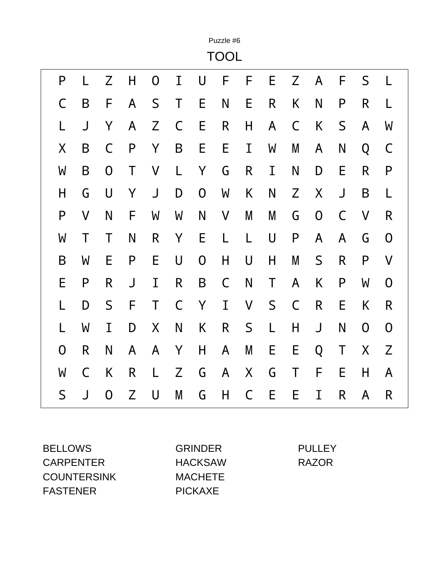|                |              |                  |   |              |             |                | Puzzle #6<br><b>TOOL</b> |   |             |             |              |              |              |             |
|----------------|--------------|------------------|---|--------------|-------------|----------------|--------------------------|---|-------------|-------------|--------------|--------------|--------------|-------------|
| P              |              | Z                | H | 0            | I           | U              | F                        | F | E           | Z           | A            | F            | S            | L           |
| C              | B            | F                | A | S            | Τ           | E              | N                        | E | R           | Κ           | N            | P            | R            | L           |
| L              | J            | Y                | A | $\mathsf Z$  | C           | E              | R                        | H | A           | C           | K            | $\mathsf S$  | A            | W           |
| X              | B            | C                | P | Y            | B           | E              | Ε                        | I | W           | M           | A            | N            | Q            | $\mathsf C$ |
| W              | B            | $\overline{0}$   | Τ | V            | L           | Y              | G                        | R | I           | N           | D            | E            | R            | P           |
| Η              | G            | U                | Υ | J            | D           | $\mathbf 0$    | W                        | K | N           | Z           | X            | J            | B            | L           |
| P              | $\mathsf{V}$ | N                | F | W            | W           | N              | V                        | M | M           | G           | $\mathsf{O}$ | C            | V            | R           |
| W              | Τ            | Τ                | N | R            | Y           | E              | L                        | L | U           | P           | A            | A            | G            | 0           |
| B              | W            | E                | P | E            | U           | $\overline{0}$ | H                        | U | H           | M           | $\mathsf S$  | $\mathsf{R}$ | P            | V           |
| E              | $\mathsf{P}$ | R                | J | I            | R           | B              | C                        | N | Τ           | A           | K            | $\mathsf{P}$ | W            | 0           |
| L              | D            | S                | F | T            | $\mathsf C$ | Y              | I                        | V | $\mathsf S$ | $\mathsf C$ | R            | E            | K            | R           |
| L              | W            | I                | D | X            | N           | K              | $\mathsf{R}$             | S | L           | Н           | J            | N            | $\mathsf{O}$ | $\mathbf 0$ |
| $\overline{0}$ | R            | N                | A | $\mathsf{A}$ | Υ           | H              | A                        | M | E           | E           | Q            | Τ            | X            | Z           |
| W              | C            | Κ                | R | L            | Z           | G              | A                        | X | G           | Τ           | F            | E            | H            | A           |
| S              | J            | $\boldsymbol{0}$ | Z | U            | M           | G              | H                        | C | E           | E           | Ι            | R            | A            | R           |

BELLOWS GRINDER PULLEY CARPENTER HACKSAW RAZOR COUNTERSINK MACHETE FASTENER PICKAXE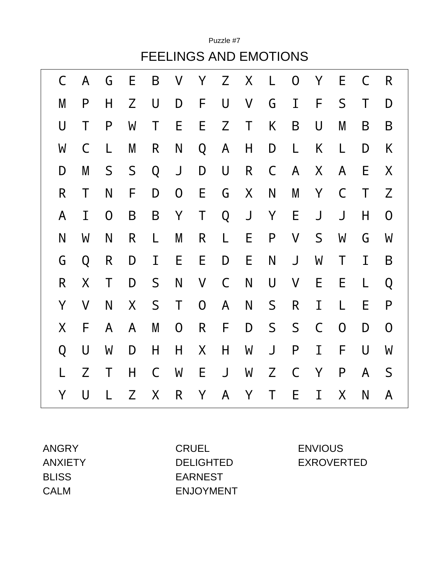FEELINGS AND EMOTIONS C A G E B V Y Z X L O Y E C R M P H Z U D F U V G I F S T D U T P W T E E Z T K B U M B B W C L M R N Q A H D L K L D K D M S S Q J D U R C A X A E X R T N F D O E G X N M Y C T Z A I O B B Y T Q J Y E J J H O N W N R L M R L E P V S W G W G Q R D I E E D E N J W T I B R X T D S N V C N U V E E L Q Y V N X S T O A N S R I L E P X F A A M O R F D S S C O D O Q U W D H H X H W J P I F U W L Z T H C W E J W Z C Y P A S Y U L Z X R Y A Y T E I X N A

Puzzle #7

ANGRY CRUEL ENVIOUS BLISS EARNEST CALM ENJOYMENT

ANXIETY DELIGHTED EXROVERTED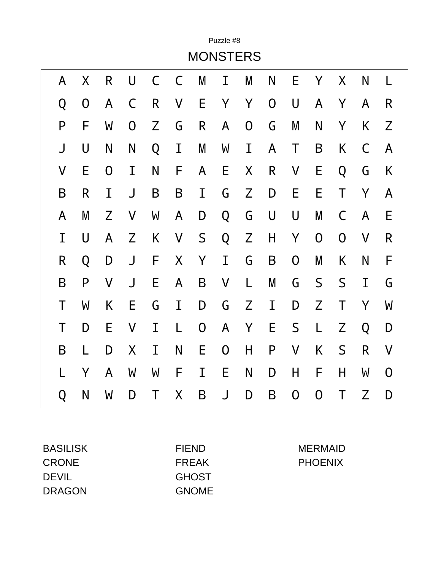|   |                |   |   |   |         |                | <b>MONSTERS</b> |                  |                |              |                |              |   |   |
|---|----------------|---|---|---|---------|----------------|-----------------|------------------|----------------|--------------|----------------|--------------|---|---|
| A | Χ              | R | U | C | C       | M              | I               | M                | N              | Е            | Y              | X            | N |   |
| Q | $\overline{0}$ | A | C | R | V       | E              | Y               | Υ                | $\overline{0}$ | U            | A              | Y            | A | R |
| P | F              | W | 0 | Z | G       | R              | A               | $\boldsymbol{0}$ | G              | M            | N              | Y            | K | Z |
| J | U              | N | N | Q | Ι       | M              | W               | I                | A              | Τ            | $\sf B$        | K            | C | A |
| V | E              | 0 | I | N | F       | A              | E               | X                | R              | V            | E              | Q            | G | K |
| B | R              | Ι | J | B | B       | Ι              | G               | Z                | D              | E            | Ε              | Τ            | Y | A |
| A | M              | Z | V | W | A       | D              | Q               | G                | U              | U            | M              | $\mathsf C$  | A | E |
| I | U              | A | Z | Κ | $\sf V$ | $\mathsf S$    | Q               | Z                | H              | Υ            | $\overline{0}$ | $\mathsf{O}$ | V | R |
| R | Q              | D | J | F | X       | Υ              | I               | G                | B              | $\mathbf 0$  | M              | K            | N | F |
| B | P              | V | J | E | A       | B              | $\sf V$         | L                | M              | G            | S              | S            | Ι | G |
| Τ | W              | Κ | E | G | I       | D              | G               | Z                | I              | D            | Z              | Τ            | Y | W |
| Τ | D              | Е | V | Ι | L       | $\overline{0}$ | A               | Υ                | E              | $\mathsf S$  | L              | Z            | Q | D |
| B | L              | D | X | I | N       | E              | $\mathbf 0$     | H                | P              | V            | K              | S            | R | V |
|   | Υ              | A | W | W | F       | Ι              | E               | N                | D              | Η            | F              | Н            | W | 0 |
| Q | N              | W | D | Τ | X       | B              | J               | D                | B              | $\mathsf{O}$ | 0              | Т            | Z | D |

Puzzle #8

CRONE FREAK PHOENIX DEVIL GHOST DRAGON GNOME

BASILISK FIEND MERMAID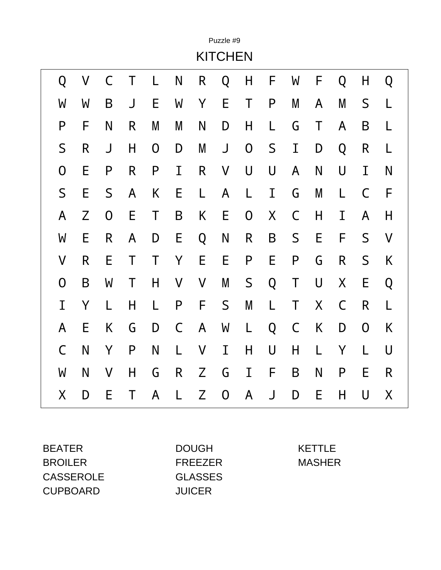|                |              |   |   |                |             |              | Puzzle #9      |                |   |             |   |             |                |   |
|----------------|--------------|---|---|----------------|-------------|--------------|----------------|----------------|---|-------------|---|-------------|----------------|---|
|                |              |   |   |                |             |              | <b>KITCHEN</b> |                |   |             |   |             |                |   |
| Q              | V            | C |   | L              | N           | R            | Q              | H              | F | W           | F | Q           | H              | Q |
| W              | W            | B | J | E              | W           | Y            | E              | Τ              | P | M           | A | M           | S              |   |
| P              | F            | N | R | M              | M           | N            | D              | H              | L | G           | Τ | A           | B              | L |
| $\mathsf S$    | $\mathsf{R}$ | J | H | $\overline{0}$ | D           | M            | J              | $\overline{0}$ | S | I           | D | Q           | R              | L |
| $\overline{0}$ | E            | P | R | $\mathsf{P}$   | Ι           | $\mathsf{R}$ | V              | U              | U | A           | N | U           | I              | N |
| S              | E            | S | A | K              | E           | L            | A              | L              | I | G           | M | L           | C              | F |
| A              | Z            | 0 | E | Τ              | B           | K            | E              | 0              | X | C           | H | I           | A              | H |
| W              | E            | R | A | D              | E           | Q            | N              | R              | B | S           | E | F           | $\mathsf S$    | V |
| V              | R            | E | Τ | Τ              | Υ           | E            | E              | P              | E | P           | G | R           | S              | K |
| 0              | B            | W | Τ | H              | V           | V            | M              | $\mathsf S$    | Q | Τ           | U | $\sf X$     | Е              | Q |
| I              | Y            | L | H | L              | P           | F            | $\mathsf S$    | M              | L | Τ           | X | $\mathsf C$ | R              | L |
| A              | E            | K | G | D              | $\mathsf C$ | A            | W              | L              | Q | $\mathsf C$ | K | D           | $\overline{0}$ | K |
| C              | N            | Υ | P | N              | L           | $\sf V$      | I              | Η              | U | Η           | L | Υ           | L              | U |
| W              | N            | V | H | G              | R           | Z            | G              | I              | F | B           | N | P           | E              | R |
| Χ              | D            | E | T | A              | L           | Z            | 0              | A              | J | D           | E | Н           | U              | X |

BEATER DOUGH KETTLE BROILER FREEZER MASHER CASSEROLE GLASSES CUPBOARD JUICER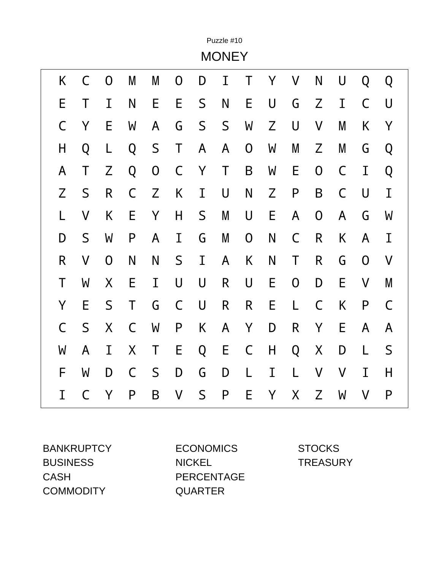|              |             |                |   |              |   |             | Puzzle #10<br><b>MONEY</b> |                  |   |              |                |             |                |             |
|--------------|-------------|----------------|---|--------------|---|-------------|----------------------------|------------------|---|--------------|----------------|-------------|----------------|-------------|
| K            | C           | $\overline{0}$ | M | M            | 0 | D           | Ι                          | T                | Y | V            | N              | U           | Q              | Q           |
| E            | Τ           | I              | N | E            | E | S           | N                          | E                | U | G            | Z              | I           | C              | U           |
| C            | Y           | E              | W | A            | G | $\mathsf S$ | S                          | W                | Z | U            | V              | M           | Κ              | Y           |
| H            | Q           | L              | Q | S            | Τ | A           | A                          | $\overline{0}$   | W | M            | Z              | M           | G              | Q           |
| A            | Τ           | Z              | Q | $\mathsf{O}$ | C | Y           | Τ                          | B                | W | Е            | $\overline{0}$ | $\mathsf C$ | Ι              | Q           |
| Z            | $\mathsf S$ | R              | C | Z            | K | I           | U                          | N                | Z | P            | B              | $\mathsf C$ | U              | I           |
| L            | V           | K              | E | Y            | Η | S           | M                          | U                | Ε | A            | $\overline{0}$ | A           | G              | W           |
| D            | $\mathsf S$ | W              | P | A            | I | G           | M                          | $\boldsymbol{0}$ | N | C            | R              | K           | A              | I           |
| $\mathsf{R}$ | V           | $\overline{0}$ | N | N            | S | I           | A                          | K                | N | Τ            | $\mathsf{R}$   | G           | $\overline{0}$ | V           |
| Τ            | W           | X              | E | I            | U | U           | R                          | U                | E | $\mathsf{O}$ | D              | E           | V              | M           |
| Y            | E           | S              | Τ | G            | C | U           | $\mathsf{R}$               | R                | E | L            | $\mathsf C$    | K           | P              | C           |
| $\mathsf C$  | $\mathsf S$ | X              | C | W            | P | K           | A                          | Y                | D | $\mathsf{R}$ | Y              | E           | A              | A           |
| W            | A           | I              | X | Τ            | E | Q           | E                          | C                | H | Q            | X              | D           | L              | $\mathsf S$ |
| F            | W           | D              | C | $\mathsf S$  | D | G           | D                          | L                | I | L            | V              | V           | Ι              | Η           |
| Ι            | C           | Y              | P | B            | V | S           | P                          | E                | Y | Χ            | Z              | W           | V              | P           |

BUSINESS NICKEL TREASURY CASH PERCENTAGE COMMODITY QUARTER

BANKRUPTCY ECONOMICS STOCKS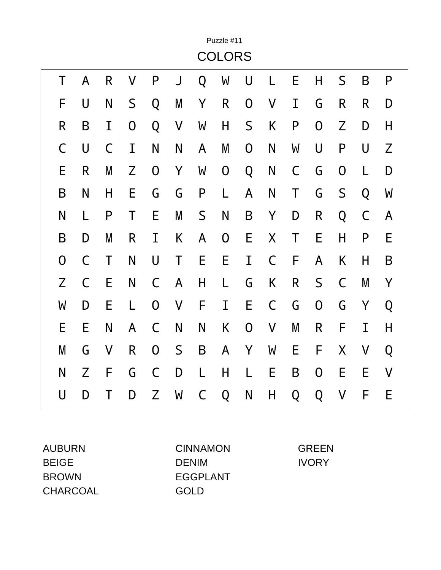|                |   |   |                  |                |   |   | Puzzle #11    |                |             |   |                |                |   |   |
|----------------|---|---|------------------|----------------|---|---|---------------|----------------|-------------|---|----------------|----------------|---|---|
|                |   |   |                  |                |   |   | <b>COLORS</b> |                |             |   |                |                |   |   |
| Τ              | A | R | V                | P              | J | Q | W             | U              |             | E | Η              | S              | B | P |
| F              | U | N | $\mathsf S$      | Q              | M | Y | R             | $\overline{0}$ | V           | I | G              | R              | R | D |
| R              | B | I | $\boldsymbol{0}$ | Q              | V | W | Н             | $\mathsf S$    | K           | P | $\overline{0}$ | Z              | D | H |
| C              | U | C | I                | N              | N | A | M             | $\overline{0}$ | N           | W | U              | P              | U | Z |
| E              | R | M | Z                | $\overline{0}$ | Υ | W | $\mathsf{O}$  | Q              | N           | C | G              | $\overline{0}$ |   | D |
| B              | N | H | Е                | G              | G | P | L             | A              | N           | Τ | G              | $\mathsf S$    | Q | W |
| N              | L | P | Τ                | E              | M | S | N             | B              | Y           | D | R              | Q              | C | A |
| B              | D | M | R                | I              | K | A | 0             | E              | X           | Τ | E              | $\mathsf{H}$   | P | E |
| $\overline{0}$ | C | Τ | N                | U              | Τ | E | E             | I              | C           | F | A              | K              | H | B |
| Z              | C | Е | N                | $\mathsf C$    | A | H | L             | G              | K           | R | S              | C              | M | Y |
| W              | D | E | L                | $\mathbf 0$    | V | F | I             | E              | $\mathsf C$ | G | $\overline{0}$ | G              | Y | Q |
| E              | E | N | A                | $\mathsf C$    | N | N | K             | $\overline{0}$ | V           | M | R              | F              | Ι | H |
| M              | G | V | $\mathsf{R}$     | $\mathbf 0$    | S | B | A             | Y              | W           | Ε | F              | X              | V | Q |
| N              | Z | F | G                | $\mathsf C$    | D | L | H             | L              | E           | B | $\overline{0}$ | Е              | E | V |
| U              | D | Τ | D                | Z              | W | C | Q             | N              | H           | Q | Q              | V              | F | E |

CHARCOAL GOLD

AUBURN CINNAMON GREEN BEIGE DENIM DENIM IVORY BROWN EGGPLANT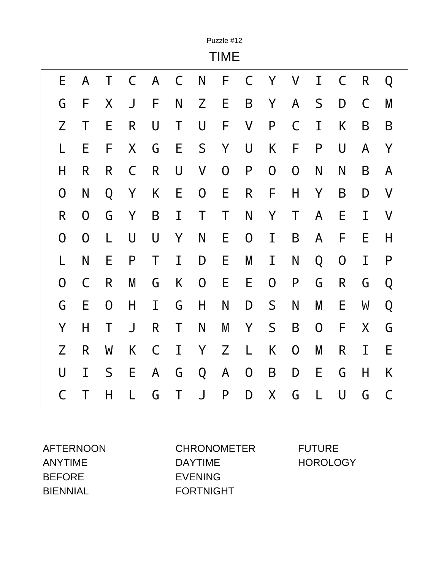|                |                |                  |             |              |             |              | Puzzle #12<br><b>TIME</b> |              |                |                |              |                |              |   |
|----------------|----------------|------------------|-------------|--------------|-------------|--------------|---------------------------|--------------|----------------|----------------|--------------|----------------|--------------|---|
| E              | A              | Τ                | $\mathsf C$ | $\mathsf{A}$ | $\mathsf C$ | N            | F                         | $\mathsf{C}$ | Y              | V              | I            | $\mathsf C$    | $\mathsf{R}$ | Q |
| G              | F              | Χ                | J           | F            | N           | Z            | E                         | B            | Y              | A              | $\mathsf S$  | D              | C            | M |
| Z              | Τ              | E                | R           | U            | Τ           | U            | F                         | $\sf V$      | $\mathsf{P}$   | C              | I            | K              | B            | B |
| L              | E              | F                | X           | G            | Е           | $\mathsf S$  | Y                         | U            | K              | F              | P            | U              | A            | Y |
| Η              | $\mathsf{R}$   | R                | C           | R            | U           | V            | 0                         | P            | 0              | 0              | N            | N              | B            | A |
| 0              | N              | Q                | Y           | K            | E           | 0            | E                         | R            | F              | H              | Y            | B              | D            | V |
| R              | $\overline{0}$ | G                | Y           | B            | I           | Τ            | Τ                         | N            | Y              | Τ              | $\mathsf{A}$ | Е              | I            | V |
| $\overline{0}$ | $\mathbf 0$    | L                | U           | $\bigcup$    | Y           | N            | E                         | 0            | I              | B              | A            | F              | E            | H |
| L              | N              | E                | P           | Τ            | I           | D            | E                         | M            | I              | N              | Q            | $\overline{0}$ | Ι            | P |
| $\overline{0}$ | $\mathsf C$    | R                | M           | G            | Κ           | $\mathsf{O}$ | E                         | E            | $\overline{0}$ | P              | G            | R              | G            | Q |
| G              | E              | $\boldsymbol{0}$ | H           | I            | G           | H            | N                         | D            | S              | N              | M            | E              | W            | Q |
| Y              | H              | Τ                | J           | R            | Τ           | N            | M                         | Y            | $\mathsf S$    | B              | 0            | F              | X.           | G |
| Z              | R              | W                | K           | $\mathsf C$  | I           | Y            | Z                         | L            | K              | $\overline{0}$ | M            | R              | I            | E |
| U              | I              | S                | E           | A            | G           | Q            | A                         | 0            | B              | D              | E            | G              | H            | K |
| C              | Τ              | Н                | L           | G            | Τ           | J            | P                         | D            | X              | G              | L            | U              | G            | C |

BEFORE EVENING BIENNIAL FORTNIGHT

AFTERNOON CHRONOMETER FUTURE ANYTIME DAYTIME DAYTIME HOROLOGY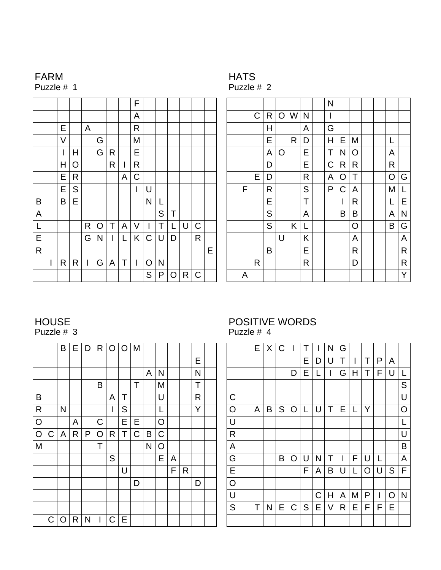## FARM

Puzzle # 1

| HAT<br>ı |    |
|----------|----|
|          | ,, |

Puzzle # 2

|              |   |   |   |             |   |   |   | F                        |               |              |             |   |             |   |
|--------------|---|---|---|-------------|---|---|---|--------------------------|---------------|--------------|-------------|---|-------------|---|
|              |   |   |   |             |   |   |   | A                        |               |              |             |   |             |   |
|              |   | E |   | A           |   |   |   | R                        |               |              |             |   |             |   |
|              |   | V |   |             | G |   |   | M                        |               |              |             |   |             |   |
|              |   | I | Η |             | G | R |   | Е                        |               |              |             |   |             |   |
|              |   | Η | O |             |   | R | I | R                        |               |              |             |   |             |   |
|              |   | Е | R |             |   |   | A | $\mathsf C$              |               |              |             |   |             |   |
|              |   | E | S |             |   |   |   | I                        | U             |              |             |   |             |   |
| B            |   | B | E |             |   |   |   |                          | N             | L            |             |   |             |   |
| A            |   |   |   |             |   |   |   |                          |               | $\mathsf S$  | Τ           |   |             |   |
| L            |   |   |   | R           | O | Τ | A | V                        | I             | Τ            | L           | U | C           |   |
| E            |   |   |   | G           | N | I | L | Κ                        | $\mathsf C$   | U            | D           |   | R           |   |
| $\mathsf{R}$ |   |   |   |             |   |   |   |                          |               |              |             |   |             | Е |
|              | I | R | R | $\mathsf I$ | G | A | Τ | $\overline{\phantom{a}}$ | O             | $\mathsf{N}$ |             |   |             |   |
|              |   |   |   |             |   |   |   |                          | ${\mathsf S}$ | P            | $\mathsf O$ | R | $\mathsf C$ |   |

|   |             |               |                |     |   | N                       |   |   |  |   |              |
|---|-------------|---------------|----------------|-----|---|-------------------------|---|---|--|---|--------------|
|   | $\mathsf C$ | R             |                | O W | N | I                       |   |   |  |   |              |
|   |             | Η             |                |     | A | $\overline{\mathsf{G}}$ |   |   |  |   |              |
|   |             | E             |                | R   | D | Η                       | Е | Μ |  | L |              |
|   |             | A             | $\overline{O}$ |     | Е | Τ                       | N | O |  | A |              |
|   |             | D             |                |     | Е | C                       | R | R |  | R |              |
|   | Е           | D             |                |     | R | A                       | O | Т |  | O | G            |
| F |             | R             |                |     | S | P                       | C | A |  | M | L            |
|   |             | Е             |                |     | T |                         | I | R |  | L | E            |
|   |             | ${\mathsf S}$ |                |     | A |                         | B | B |  | A | N            |
|   |             | S             |                | Κ   | L |                         |   | O |  | B | G            |
|   |             |               | U              |     | Κ |                         |   | A |  |   | A            |
|   |             | B             |                |     | Е |                         |   | R |  |   | $\mathsf{R}$ |
|   | R           |               |                |     | R |                         |   | D |  |   | $\mathsf{R}$ |
| A |             |               |                |     |   |                         |   |   |  |   | Y            |

#### HOUSE Puzzle # 3

|                |             | B | E            | D |             |   | R O O M |   |   |                |   |   |   |  |
|----------------|-------------|---|--------------|---|-------------|---|---------|---|---|----------------|---|---|---|--|
|                |             |   |              |   |             |   |         |   |   |                |   |   | Ε |  |
|                |             |   |              |   |             |   |         |   | A | N              |   |   | N |  |
|                |             |   |              |   | B           |   |         | Т |   | M              |   |   | Τ |  |
| Β              |             |   |              |   |             | A | Т       |   |   | U              |   |   | R |  |
| $\mathsf{R}$   |             | N |              |   |             | I | S       |   |   | L              |   |   | Y |  |
| O              |             |   | A            |   | $\mathsf C$ |   | E       | Е |   | $\overline{O}$ |   |   |   |  |
| $\overline{O}$ | $\mathsf C$ | A | $\mathsf{R}$ | P | $\circ$     | R | Τ       | C | B | $\mathsf C$    |   |   |   |  |
| M              |             |   |              |   | Т           |   |         |   | N | O              |   |   |   |  |
|                |             |   |              |   |             | S |         |   |   | E              | A |   |   |  |
|                |             |   |              |   |             |   | U       |   |   |                | F | R |   |  |
|                |             |   |              |   |             |   |         | D |   |                |   |   | D |  |
|                |             |   |              |   |             |   |         |   |   |                |   |   |   |  |
|                |             |   |              |   |             |   |         |   |   |                |   |   |   |  |
|                | $\mathsf C$ | O | R            | N | I           | C | Е       |   |   |                |   |   |   |  |

#### POSITIVE WORDS Puzzle # 4

|                         | E | X | $\mathbf C$   |              |   |   | N | G |   |   |   |   |   |
|-------------------------|---|---|---------------|--------------|---|---|---|---|---|---|---|---|---|
|                         |   |   |               |              | Е | D | U | Т | I | Τ | P | A |   |
|                         |   |   |               | D            | Е | L | I | G | Η | Т | F | U | L |
|                         |   |   |               |              |   |   |   |   |   |   |   |   | S |
| $\mathsf{C}$            |   |   |               |              |   |   |   |   |   |   |   |   | U |
| $\circ$                 | A | Β | ${\mathsf S}$ | O            | L | U | Т | Ε | L | Υ |   |   | O |
| $\cup$                  |   |   |               |              |   |   |   |   |   |   |   |   | L |
| ${\sf R}$               |   |   |               |              |   |   |   |   |   |   |   |   | U |
| $\overline{\mathsf{A}}$ |   |   |               |              |   |   |   |   |   |   |   |   | Β |
| G                       |   |   | B             | O            | U | N | Т |   | F | U | L |   | A |
| $\mathsf E$             |   |   |               |              | F | A | B | U | L | O | U | S | F |
| $\circ$                 |   |   |               |              |   |   |   |   |   |   |   |   |   |
| $\bigcup$               |   |   |               |              |   | C | Η | A | M | P | I | O | N |
| S                       | Τ | N | Е             | $\mathsf{C}$ | S | Е | V | R | Е | F | F | E |   |
|                         |   |   |               |              |   |   |   |   |   |   |   |   |   |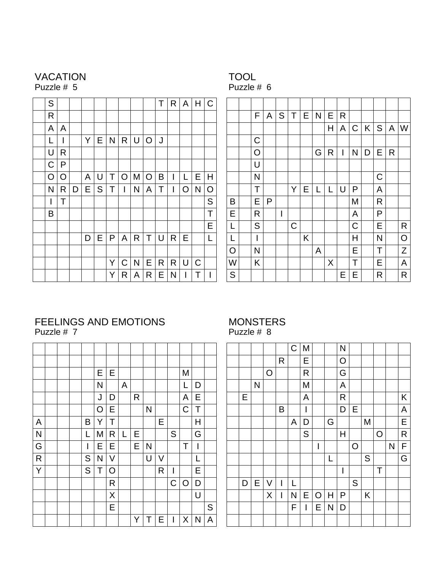#### VACATION Puzzle # 5

# TOOL

Puzzle # 6

| S           |          |   |   |   |   |             |              |         | Τ | R. | $\overline{A}$ | H           | C |
|-------------|----------|---|---|---|---|-------------|--------------|---------|---|----|----------------|-------------|---|
| R           |          |   |   |   |   |             |              |         |   |    |                |             |   |
| A           | A        |   |   |   |   |             |              |         |   |    |                |             |   |
| L           | ı        |   | Υ | Е | N | R           | U            | $\circ$ | J |    |                |             |   |
| U           | R        |   |   |   |   |             |              |         |   |    |                |             |   |
| $\mathsf C$ | P        |   |   |   |   |             |              |         |   |    |                |             |   |
| O           | $\Omega$ |   | A | U | Τ | $\mathsf O$ | M            | O       | Β | I  | L              | E           | Η |
| N           | R        | D | Е | S | Τ | I           | N            | A       | Τ | I  | $\overline{O}$ | N           | O |
| I           | T        |   |   |   |   |             |              |         |   |    |                |             | S |
| B           |          |   |   |   |   |             |              |         |   |    |                |             | Τ |
|             |          |   |   |   |   |             |              |         |   |    |                |             | E |
|             |          |   | D | Е | P | A           | R            | Τ       | U | R  | E              |             | L |
|             |          |   |   |   |   |             |              |         |   |    |                |             |   |
|             |          |   |   |   | Υ | $\mathsf C$ | $\mathsf{N}$ | Е       | R | R  | U              | $\mathsf C$ |   |
|             |          |   |   |   | Υ | R           | A            | R       | Е | N  | I              | Т           |   |

|                | F           | A | S                        | Τ | E | $\mathsf{N}$ | E | R |             |   |             |   |              |
|----------------|-------------|---|--------------------------|---|---|--------------|---|---|-------------|---|-------------|---|--------------|
|                |             |   |                          |   |   |              | Η | A | $\mathsf C$ | K | S           | A | W            |
|                | $\mathsf C$ |   |                          |   |   |              |   |   |             |   |             |   |              |
|                | O           |   |                          |   |   | G            | R | I | N           | D | Е           | R |              |
|                | U           |   |                          |   |   |              |   |   |             |   |             |   |              |
|                | N           |   |                          |   |   |              |   |   |             |   | $\mathsf C$ |   |              |
|                | Т           |   |                          | Υ | Е | L            | L | U | P           |   | A           |   |              |
| B              | Ε           | P |                          |   |   |              |   |   | Μ           |   | R           |   |              |
| E              | R           |   | $\overline{\phantom{a}}$ |   |   |              |   |   | A           |   | P           |   |              |
| L              | S           |   |                          | C |   |              |   |   | C           |   | Ε           |   | $\mathsf{R}$ |
| L              | I           |   |                          |   | Κ |              |   |   | Η           |   | N           |   | O            |
| $\overline{O}$ | N           |   |                          |   |   | A            |   |   | E           |   | Т           |   | Z            |
| W              | Κ           |   |                          |   |   |              | X |   | Т           |   | Е           |   | A            |
| S              |             |   |                          |   |   |              |   | Ε | E           |   | R           |   | R            |

#### FEELINGS AND EMOTIONS Puzzle # 7

|              |  |              | Ε | Е       |   |   |   |   |                          | M           |                          |   |
|--------------|--|--------------|---|---------|---|---|---|---|--------------------------|-------------|--------------------------|---|
|              |  |              | N |         | A |   |   |   |                          | L           | D                        |   |
|              |  |              | J | D       |   | R |   |   |                          | A           | Е                        |   |
|              |  |              | O | E       |   |   | N |   |                          | $\mathsf C$ | T                        |   |
| A            |  | B            | Y | Т       |   |   |   | E |                          |             | Η                        |   |
| N            |  | L            | M | R       | L | Е |   |   | S                        |             | $\overline{\mathsf{G}}$  |   |
| G            |  | I            | Е | Ε       |   | E | N |   |                          | Т           | $\overline{\phantom{a}}$ |   |
| $\mathsf{R}$ |  | $\mathsf{S}$ | N | V       |   |   | U | V |                          |             | L                        |   |
| Y            |  | ${\sf S}$    | Т | O       |   |   |   | R | $\overline{\phantom{a}}$ |             | E                        |   |
|              |  |              |   | R       |   |   |   |   | $\mathsf C$              | O           | D                        |   |
|              |  |              |   | $\sf X$ |   |   |   |   |                          |             | U                        |   |
|              |  |              |   | Е       |   |   |   |   |                          |             |                          | S |
|              |  |              |   |         |   | Y | Т | Е | I                        | X           | N                        | A |

#### MONSTERS Puzzle # 8

|   |   |                |                          | $\mathsf C$ | M           |                          |   | N                        |              |   |   |   |   |
|---|---|----------------|--------------------------|-------------|-------------|--------------------------|---|--------------------------|--------------|---|---|---|---|
|   |   |                | R                        |             | Ε           |                          |   | $\overline{O}$           |              |   |   |   |   |
|   |   | $\overline{O}$ |                          |             | $\mathsf R$ |                          |   | G                        |              |   |   |   |   |
|   | N |                |                          |             | M           |                          |   | A                        |              |   |   |   |   |
| Е |   |                |                          |             | A           |                          |   | $\mathsf{R}$             |              |   |   |   | K |
|   |   |                | Β                        |             | I           |                          |   | D                        | Е            |   |   |   | A |
|   |   |                |                          | A           | D           |                          | G |                          |              | M |   |   | Е |
|   |   |                |                          |             | S           |                          |   | Η                        |              |   | O |   | R |
|   |   |                |                          |             |             | $\overline{\phantom{a}}$ |   |                          | $\mathsf{O}$ |   |   | N | F |
|   |   |                |                          |             |             |                          | L |                          |              | S |   |   | G |
|   |   |                |                          |             |             |                          |   | $\overline{\phantom{a}}$ |              |   | Τ |   |   |
| D | E | V              | I                        | L           |             |                          |   |                          | S            |   |   |   |   |
|   |   | X              | $\overline{\phantom{a}}$ | N           | Е           | O                        | Η | P                        |              | Κ |   |   |   |
|   |   |                |                          | F           | I           | Е                        | N | D                        |              |   |   |   |   |
|   |   |                |                          |             |             |                          |   |                          |              |   |   |   |   |
|   |   |                |                          |             |             |                          |   |                          |              |   |   |   |   |